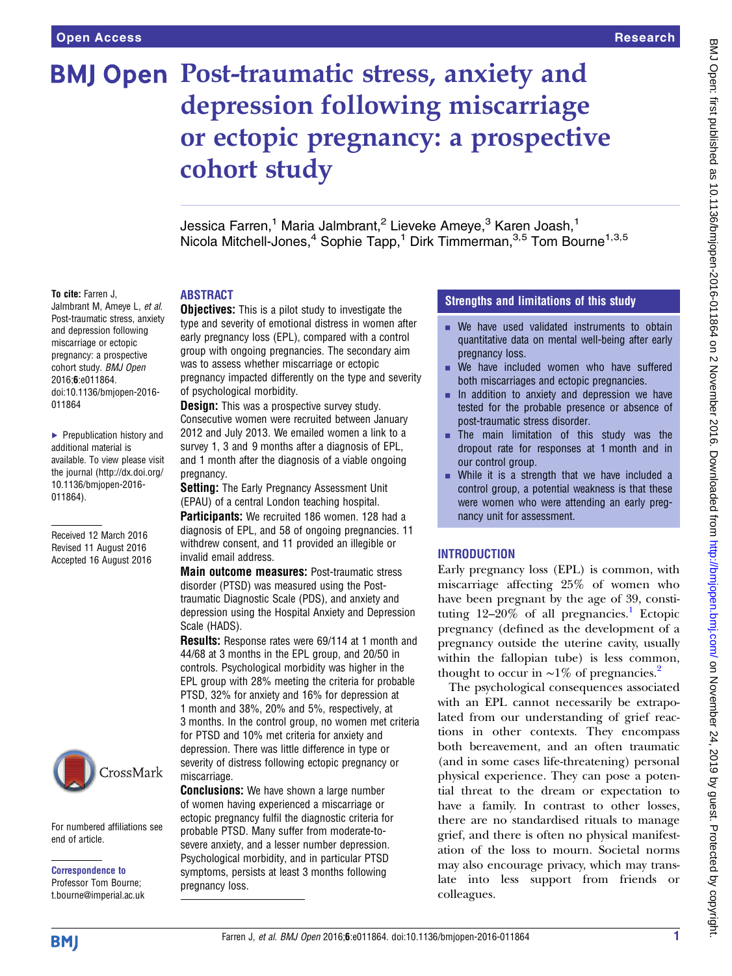# **BMJ Open Post-traumatic stress, anxiety and** depression following miscarriage or ectopic pregnancy: a prospective cohort study

Jessica Farren,<sup>1</sup> Maria Jalmbrant,<sup>2</sup> Lieveke Ameye,<sup>3</sup> Karen Joash,<sup>1</sup> Nicola Mitchell-Jones,<sup>4</sup> Sophie Tapp,<sup>1</sup> Dirk Timmerman,<sup>3,5</sup> Tom Bourne<sup>1,3,5</sup>

#### To cite: Farren J,

Jalmbrant M, Ameye L, et al. Post-traumatic stress, anxiety and depression following miscarriage or ectopic pregnancy: a prospective cohort study. BMJ Open 2016;6:e011864. doi:10.1136/bmjopen-2016- 011864

▶ Prepublication history and additional material is available. To view please visit the journal [\(http://dx.doi.org/](http://dx.doi.org/10.1136/bmjopen-2016-011864) [10.1136/bmjopen-2016-](http://dx.doi.org/10.1136/bmjopen-2016-011864) [011864\)](http://dx.doi.org/10.1136/bmjopen-2016-011864).

Received 12 March 2016 Revised 11 August 2016 Accepted 16 August 2016



For numbered affiliations see end of article.

Correspondence to Professor Tom Bourne; t.bourne@imperial.ac.uk

## ABSTRACT

**Objectives:** This is a pilot study to investigate the type and severity of emotional distress in women after early pregnancy loss (EPL), compared with a control group with ongoing pregnancies. The secondary aim was to assess whether miscarriage or ectopic pregnancy impacted differently on the type and severity of psychological morbidity.

**Design:** This was a prospective survey study. Consecutive women were recruited between January 2012 and July 2013. We emailed women a link to a survey 1, 3 and 9 months after a diagnosis of EPL, and 1 month after the diagnosis of a viable ongoing pregnancy.

Setting: The Early Pregnancy Assessment Unit (EPAU) of a central London teaching hospital.

Participants: We recruited 186 women. 128 had a diagnosis of EPL, and 58 of ongoing pregnancies. 11 withdrew consent, and 11 provided an illegible or invalid email address.

Main outcome measures: Post-traumatic stress disorder (PTSD) was measured using the Posttraumatic Diagnostic Scale (PDS), and anxiety and depression using the Hospital Anxiety and Depression Scale (HADS).

Results: Response rates were 69/114 at 1 month and 44/68 at 3 months in the EPL group, and 20/50 in controls. Psychological morbidity was higher in the EPL group with 28% meeting the criteria for probable PTSD, 32% for anxiety and 16% for depression at 1 month and 38%, 20% and 5%, respectively, at 3 months. In the control group, no women met criteria for PTSD and 10% met criteria for anxiety and depression. There was little difference in type or severity of distress following ectopic pregnancy or miscarriage.

**Conclusions:** We have shown a large number of women having experienced a miscarriage or ectopic pregnancy fulfil the diagnostic criteria for probable PTSD. Many suffer from moderate-tosevere anxiety, and a lesser number depression. Psychological morbidity, and in particular PTSD symptoms, persists at least 3 months following pregnancy loss.

## Strengths and limitations of this study

- $\blacksquare$  We have used validated instruments to obtain quantitative data on mental well-being after early pregnancy loss.
- We have included women who have suffered both miscarriages and ectopic pregnancies.
- $\blacksquare$  In addition to anxiety and depression we have tested for the probable presence or absence of post-traumatic stress disorder.
- The main limitation of this study was the dropout rate for responses at 1 month and in our control group.
- While it is a strength that we have included a control group, a potential weakness is that these were women who were attending an early pregnancy unit for assessment.

# **INTRODUCTION**

Early pregnancy loss (EPL) is common, with miscarriage affecting 25% of women who have been pregnant by the age of 39, constituting  $12-20\%$  $12-20\%$  of all pregnancies.<sup>1</sup> Ectopic pregnancy (defined as the development of a pregnancy outside the uterine cavity, usually within the fallopian tube) is less common, thought to occur in  $\sim$ 1% of pregnancies.<sup>[2](#page-8-0)</sup>

The psychological consequences associated with an EPL cannot necessarily be extrapolated from our understanding of grief reactions in other contexts. They encompass both bereavement, and an often traumatic (and in some cases life-threatening) personal physical experience. They can pose a potential threat to the dream or expectation to have a family. In contrast to other losses, there are no standardised rituals to manage grief, and there is often no physical manifestation of the loss to mourn. Societal norms may also encourage privacy, which may translate into less support from friends or colleagues.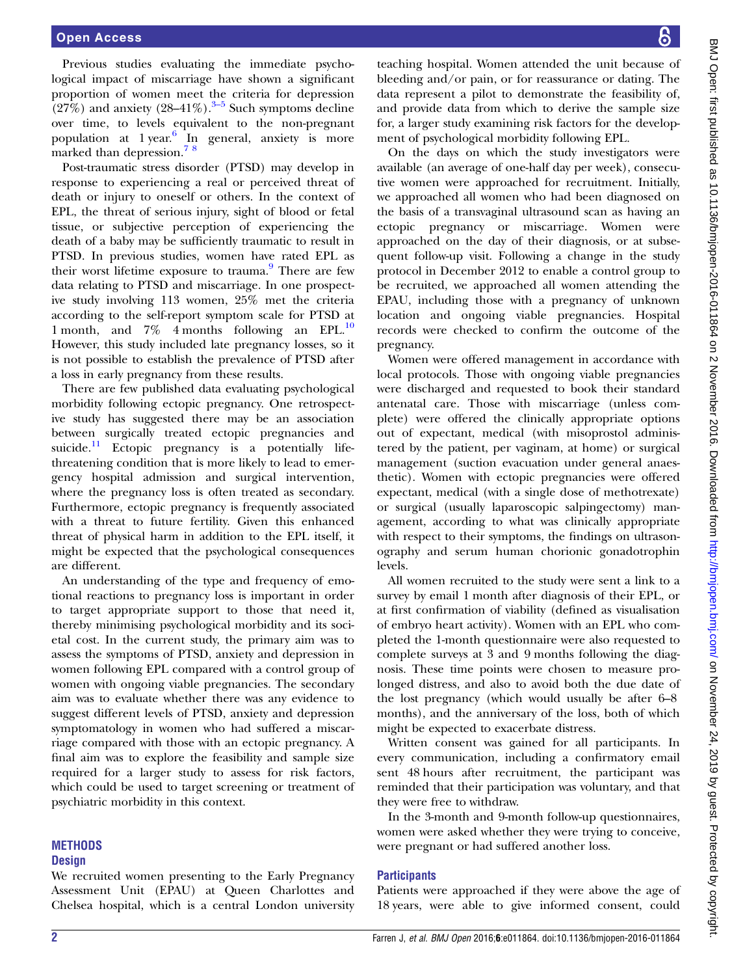Previous studies evaluating the immediate psychological impact of miscarriage have shown a significant proportion of women meet [the](#page-8-0) criteria for depression  $(27%)$  and anxiety  $(28-41%)$ .<sup>3–5</sup> Such symptoms decline over time, to levels equivalent to the non-pregnant population at  $1$  year.<sup>[6](#page-8-0)</sup> In general, anxiety is more marked than depression.<sup>78</sup>

Post-traumatic stress disorder (PTSD) may develop in response to experiencing a real or perceived threat of death or injury to oneself or others. In the context of EPL, the threat of serious injury, sight of blood or fetal tissue, or subjective perception of experiencing the death of a baby may be sufficiently traumatic to result in PTSD. In previous studies, women have rated EPL as their worst lifetime exposure to trauma. $9$  There are few data relating to PTSD and miscarriage. In one prospective study involving 113 women, 25% met the criteria according to the self-report symptom scale for PTSD at 1 month, and  $7\%$  4 months following an EPL.<sup>[10](#page-8-0)</sup> However, this study included late pregnancy losses, so it is not possible to establish the prevalence of PTSD after a loss in early pregnancy from these results.

There are few published data evaluating psychological morbidity following ectopic pregnancy. One retrospective study has suggested there may be an association between surgically treated ectopic pregnancies and suicide.<sup>[11](#page-8-0)</sup> Ectopic pregnancy is a potentially lifethreatening condition that is more likely to lead to emergency hospital admission and surgical intervention, where the pregnancy loss is often treated as secondary. Furthermore, ectopic pregnancy is frequently associated with a threat to future fertility. Given this enhanced threat of physical harm in addition to the EPL itself, it might be expected that the psychological consequences are different.

An understanding of the type and frequency of emotional reactions to pregnancy loss is important in order to target appropriate support to those that need it, thereby minimising psychological morbidity and its societal cost. In the current study, the primary aim was to assess the symptoms of PTSD, anxiety and depression in women following EPL compared with a control group of women with ongoing viable pregnancies. The secondary aim was to evaluate whether there was any evidence to suggest different levels of PTSD, anxiety and depression symptomatology in women who had suffered a miscarriage compared with those with an ectopic pregnancy. A final aim was to explore the feasibility and sample size required for a larger study to assess for risk factors, which could be used to target screening or treatment of psychiatric morbidity in this context.

# **METHODS**

## **Design**

We recruited women presenting to the Early Pregnancy Assessment Unit (EPAU) at Queen Charlottes and Chelsea hospital, which is a central London university

teaching hospital. Women attended the unit because of bleeding and/or pain, or for reassurance or dating. The data represent a pilot to demonstrate the feasibility of, and provide data from which to derive the sample size for, a larger study examining risk factors for the development of psychological morbidity following EPL.

On the days on which the study investigators were available (an average of one-half day per week), consecutive women were approached for recruitment. Initially, we approached all women who had been diagnosed on the basis of a transvaginal ultrasound scan as having an ectopic pregnancy or miscarriage. Women were approached on the day of their diagnosis, or at subsequent follow-up visit. Following a change in the study protocol in December 2012 to enable a control group to be recruited, we approached all women attending the EPAU, including those with a pregnancy of unknown location and ongoing viable pregnancies. Hospital records were checked to confirm the outcome of the pregnancy.

Women were offered management in accordance with local protocols. Those with ongoing viable pregnancies were discharged and requested to book their standard antenatal care. Those with miscarriage (unless complete) were offered the clinically appropriate options out of expectant, medical (with misoprostol administered by the patient, per vaginam, at home) or surgical management (suction evacuation under general anaesthetic). Women with ectopic pregnancies were offered expectant, medical (with a single dose of methotrexate) or surgical (usually laparoscopic salpingectomy) management, according to what was clinically appropriate with respect to their symptoms, the findings on ultrasonography and serum human chorionic gonadotrophin levels.

All women recruited to the study were sent a link to a survey by email 1 month after diagnosis of their EPL, or at first confirmation of viability (defined as visualisation of embryo heart activity). Women with an EPL who completed the 1-month questionnaire were also requested to complete surveys at 3 and 9 months following the diagnosis. These time points were chosen to measure prolonged distress, and also to avoid both the due date of the lost pregnancy (which would usually be after 6–8 months), and the anniversary of the loss, both of which might be expected to exacerbate distress.

Written consent was gained for all participants. In every communication, including a confirmatory email sent 48 hours after recruitment, the participant was reminded that their participation was voluntary, and that they were free to withdraw.

In the 3-month and 9-month follow-up questionnaires, women were asked whether they were trying to conceive, were pregnant or had suffered another loss.

# **Participants**

Patients were approached if they were above the age of 18 years, were able to give informed consent, could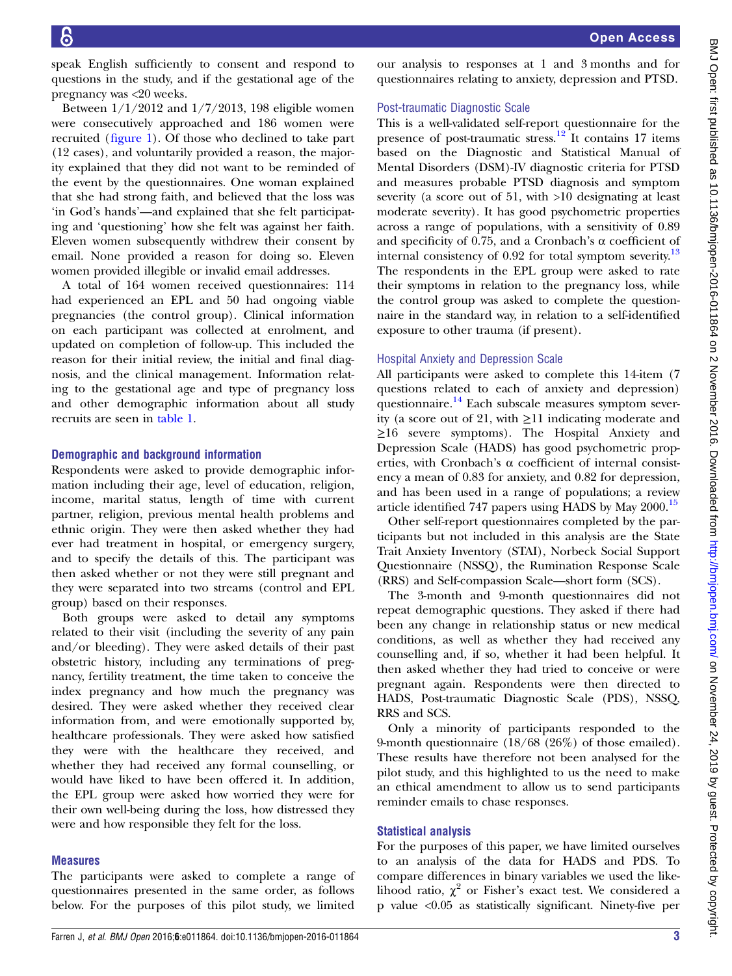speak English sufficiently to consent and respond to questions in the study, and if the gestational age of the pregnancy was <20 weeks.

Between 1/1/2012 and 1/7/2013, 198 eligible women were consecutively approached and 186 women were recruited (fi[gure 1](#page-3-0)). Of those who declined to take part (12 cases), and voluntarily provided a reason, the majority explained that they did not want to be reminded of the event by the questionnaires. One woman explained that she had strong faith, and believed that the loss was 'in God's hands'—and explained that she felt participating and 'questioning' how she felt was against her faith. Eleven women subsequently withdrew their consent by email. None provided a reason for doing so. Eleven women provided illegible or invalid email addresses.

A total of 164 women received questionnaires: 114 had experienced an EPL and 50 had ongoing viable pregnancies (the control group). Clinical information on each participant was collected at enrolment, and updated on completion of follow-up. This included the reason for their initial review, the initial and final diagnosis, and the clinical management. Information relating to the gestational age and type of pregnancy loss and other demographic information about all study recruits are seen in [table 1](#page-3-0).

## Demographic and background information

Respondents were asked to provide demographic information including their age, level of education, religion, income, marital status, length of time with current partner, religion, previous mental health problems and ethnic origin. They were then asked whether they had ever had treatment in hospital, or emergency surgery, and to specify the details of this. The participant was then asked whether or not they were still pregnant and they were separated into two streams (control and EPL group) based on their responses.

Both groups were asked to detail any symptoms related to their visit (including the severity of any pain and/or bleeding). They were asked details of their past obstetric history, including any terminations of pregnancy, fertility treatment, the time taken to conceive the index pregnancy and how much the pregnancy was desired. They were asked whether they received clear information from, and were emotionally supported by, healthcare professionals. They were asked how satisfied they were with the healthcare they received, and whether they had received any formal counselling, or would have liked to have been offered it. In addition, the EPL group were asked how worried they were for their own well-being during the loss, how distressed they were and how responsible they felt for the loss.

#### Measures

The participants were asked to complete a range of questionnaires presented in the same order, as follows below. For the purposes of this pilot study, we limited our analysis to responses at 1 and 3 months and for questionnaires relating to anxiety, depression and PTSD.

#### Post-traumatic Diagnostic Scale

This is a well-validated self-report questionnaire for the presence of post-traumatic stress.<sup>[12](#page-8-0)</sup> It contains 17 items based on the Diagnostic and Statistical Manual of Mental Disorders (DSM)-IV diagnostic criteria for PTSD and measures probable PTSD diagnosis and symptom severity (a score out of 51, with >10 designating at least moderate severity). It has good psychometric properties across a range of populations, with a sensitivity of 0.89 and specificity of 0.75, and a Cronbach's  $\alpha$  coefficient of internal consistency of  $0.92$  for total symptom severity.<sup>[13](#page-8-0)</sup> The respondents in the EPL group were asked to rate their symptoms in relation to the pregnancy loss, while the control group was asked to complete the questionnaire in the standard way, in relation to a self-identified exposure to other trauma (if present).

#### Hospital Anxiety and Depression Scale

All participants were asked to complete this 14-item (7 questions related to each of anxiety and depression) questionnaire. $14$  Each subscale measures symptom severity (a score out of 21, with ≥11 indicating moderate and ≥16 severe symptoms). The Hospital Anxiety and Depression Scale (HADS) has good psychometric properties, with Cronbach's α coefficient of internal consistency a mean of 0.83 for anxiety, and 0.82 for depression, and has been used in a range of populations; a review article identified 747 papers using HADS by May 2000.<sup>[15](#page-8-0)</sup>

Other self-report questionnaires completed by the participants but not included in this analysis are the State Trait Anxiety Inventory (STAI), Norbeck Social Support Questionnaire (NSSQ), the Rumination Response Scale (RRS) and Self-compassion Scale—short form (SCS).

The 3-month and 9-month questionnaires did not repeat demographic questions. They asked if there had been any change in relationship status or new medical conditions, as well as whether they had received any counselling and, if so, whether it had been helpful. It then asked whether they had tried to conceive or were pregnant again. Respondents were then directed to HADS, Post-traumatic Diagnostic Scale (PDS), NSSQ, RRS and SCS.

Only a minority of participants responded to the 9-month questionnaire (18/68 (26%) of those emailed). These results have therefore not been analysed for the pilot study, and this highlighted to us the need to make an ethical amendment to allow us to send participants reminder emails to chase responses.

#### Statistical analysis

For the purposes of this paper, we have limited ourselves to an analysis of the data for HADS and PDS. To compare differences in binary variables we used the likelihood ratio,  $\chi^2$  or Fisher's exact test. We considered a p value <0.05 as statistically significant. Ninety-five per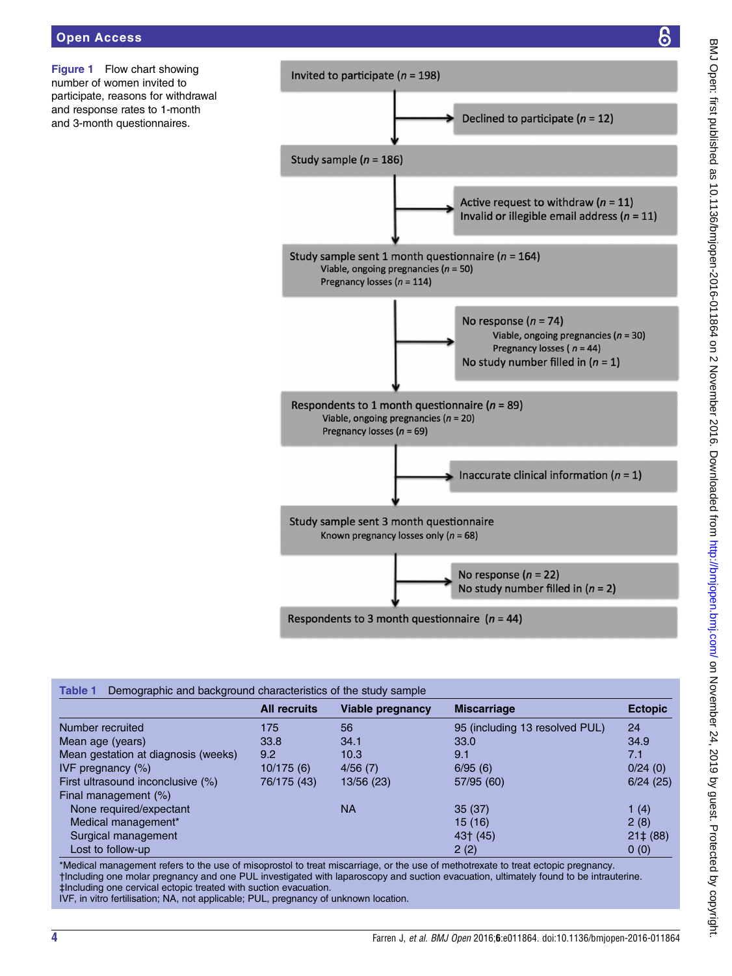<span id="page-3-0"></span>

|                                     | <b>All recruits</b> | Viable pregnancy | <b>Miscarriage</b>             | <b>Ectopic</b> |
|-------------------------------------|---------------------|------------------|--------------------------------|----------------|
| Number recruited                    | 175                 | 56               | 95 (including 13 resolved PUL) | 24             |
| Mean age (years)                    | 33.8                | 34.1             | 33.0                           | 34.9           |
| Mean gestation at diagnosis (weeks) | 9.2                 | 10.3             | 9.1                            | 7.1            |
| IVF pregnancy $(\%)$                | 10/175(6)           | 4/56(7)          | 6/95(6)                        | 0/24(0)        |
| First ultrasound inconclusive (%)   | 76/175 (43)         | 13/56 (23)       | 57/95 (60)                     | 6/24(25)       |
| Final management (%)                |                     |                  |                                |                |
| None required/expectant             |                     | <b>NA</b>        | 35(37)                         | 1(4)           |
| Medical management*                 |                     |                  | 15(16)                         | 2(8)           |
| Surgical management                 |                     |                  | 43† (45)                       | $21 \pm (88)$  |
| Lost to follow-up                   |                     |                  | 2(2)                           | 0(0)           |

\*Medical management refers to the use of misoprostol to treat miscarriage, or the use of methotrexate to treat ectopic pregnancy. †Including one molar pregnancy and one PUL investigated with laparoscopy and suction evacuation, ultimately found to be intrauterine. ‡Including one cervical ectopic treated with suction evacuation.

IVF, in vitro fertilisation; NA, not applicable; PUL, pregnancy of unknown location.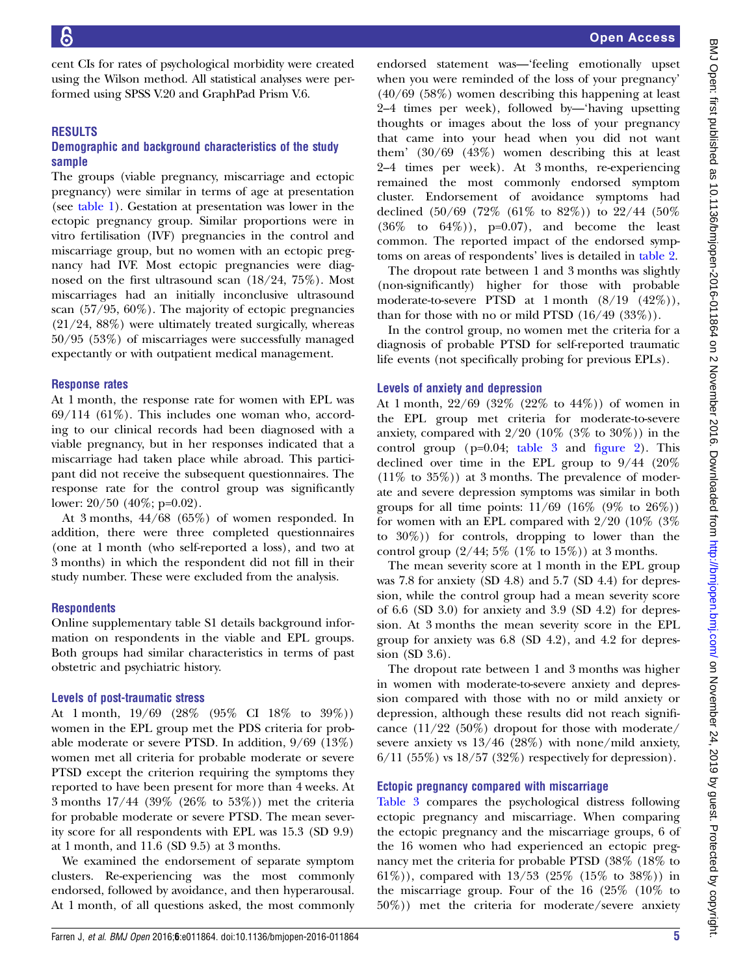cent CIs for rates of psychological morbidity were created using the Wilson method. All statistical analyses were performed using SPSS V.20 and GraphPad Prism V.6.

# RESULTS

# Demographic and background characteristics of the study sample

The groups (viable pregnancy, miscarriage and ectopic pregnancy) were similar in terms of age at presentation (see [table 1](#page-3-0)). Gestation at presentation was lower in the ectopic pregnancy group. Similar proportions were in vitro fertilisation (IVF) pregnancies in the control and miscarriage group, but no women with an ectopic pregnancy had IVF. Most ectopic pregnancies were diagnosed on the first ultrasound scan (18/24, 75%). Most miscarriages had an initially inconclusive ultrasound scan (57/95, 60%). The majority of ectopic pregnancies  $(21/24, 88%)$  were ultimately treated surgically, whereas 50/95 (53%) of miscarriages were successfully managed expectantly or with outpatient medical management.

## Response rates

At 1 month, the response rate for women with EPL was  $69/114$   $(61\%)$ . This includes one woman who, according to our clinical records had been diagnosed with a viable pregnancy, but in her responses indicated that a miscarriage had taken place while abroad. This participant did not receive the subsequent questionnaires. The response rate for the control group was significantly lower: 20/50 (40%; p=0.02).

At 3 months, 44/68 (65%) of women responded. In addition, there were three completed questionnaires (one at 1 month (who self-reported a loss), and two at 3 months) in which the respondent did not fill in their study number. These were excluded from the analysis.

# **Respondents**

Online [supplementary table](http://dx.doi.org/10.1136/bmjopen-2016-011864) S[1](http://dx.doi.org/10.1136/bmjopen-2016-011864) details background information on respondents in the viable and EPL groups. Both groups had similar characteristics in terms of past obstetric and psychiatric history.

## Levels of post-traumatic stress

At 1 month, 19/69 (28% (95% CI 18% to 39%)) women in the EPL group met the PDS criteria for probable moderate or severe PTSD. In addition, 9/69 (13%) women met all criteria for probable moderate or severe PTSD except the criterion requiring the symptoms they reported to have been present for more than 4 weeks. At 3 months 17/44 (39% (26% to 53%)) met the criteria for probable moderate or severe PTSD. The mean severity score for all respondents with EPL was 15.3 (SD 9.9) at 1 month, and 11.6 (SD 9.5) at 3 months.

We examined the endorsement of separate symptom clusters. Re-experiencing was the most commonly endorsed, followed by avoidance, and then hyperarousal. At 1 month, of all questions asked, the most commonly

endorsed statement was—'feeling emotionally upset when you were reminded of the loss of your pregnancy' (40/69 (58%) women describing this happening at least 2–4 times per week), followed by—'having upsetting thoughts or images about the loss of your pregnancy that came into your head when you did not want them' (30/69 (43%) women describing this at least 2–4 times per week). At 3 months, re-experiencing remained the most commonly endorsed symptom cluster. Endorsement of avoidance symptoms had declined (50/69 (72% (61% to 82%)) to 22/44 (50%  $(36\% \text{ to } 64\%))$ , p=0.07), and become the least common. The reported impact of the endorsed symptoms on areas of respondents' lives is detailed in [table 2](#page-5-0).

The dropout rate between 1 and 3 months was slightly (non-significantly) higher for those with probable moderate-to-severe PTSD at 1 month  $(8/19 \text{ } (42\%)),$ than for those with no or mild PTSD  $(16/49 \ (33\%)$ ).

In the control group, no women met the criteria for a diagnosis of probable PTSD for self-reported traumatic life events (not specifically probing for previous EPLs).

## Levels of anxiety and depression

At 1 month, 22/69 (32% (22% to 44%)) of women in the EPL group met criteria for moderate-to-severe anxiety, compared with  $2/20$  (10% (3% to 30%)) in the control group ( $p=0.04$ ; [table 3](#page-6-0) and fi[gure 2](#page-6-0)). This declined over time in the EPL group to 9/44 (20%  $(11\%$  to  $35\%)$  at 3 months. The prevalence of moderate and severe depression symptoms was similar in both groups for all time points:  $11/69$  (16% (9% to 26%)) for women with an EPL compared with 2/20 (10% (3% to  $30\%)$  for controls, dropping to lower than the control group  $(2/44; 5\% (1\% \text{ to } 15\%))$  at 3 months.

The mean severity score at 1 month in the EPL group was 7.8 for anxiety (SD 4.8) and 5.7 (SD 4.4) for depression, while the control group had a mean severity score of 6.6 (SD 3.0) for anxiety and 3.9 (SD 4.2) for depression. At 3 months the mean severity score in the EPL group for anxiety was 6.8 (SD 4.2), and 4.2 for depression (SD 3.6).

The dropout rate between 1 and 3 months was higher in women with moderate-to-severe anxiety and depression compared with those with no or mild anxiety or depression, although these results did not reach significance  $(11/22 \ (50\%)$  dropout for those with moderate/ severe anxiety vs 13/46 (28%) with none/mild anxiety,  $6/11$  (55%) vs  $18/57$  (32%) respectively for depression).

## Ectopic pregnancy compared with miscarriage

[Table 3](#page-6-0) compares the psychological distress following ectopic pregnancy and miscarriage. When comparing the ectopic pregnancy and the miscarriage groups, 6 of the 16 women who had experienced an ectopic pregnancy met the criteria for probable PTSD (38% (18% to 61%)), compared with 13/53 (25% (15% to 38%)) in the miscarriage group. Four of the 16 (25% (10% to 50%)) met the criteria for moderate/severe anxiety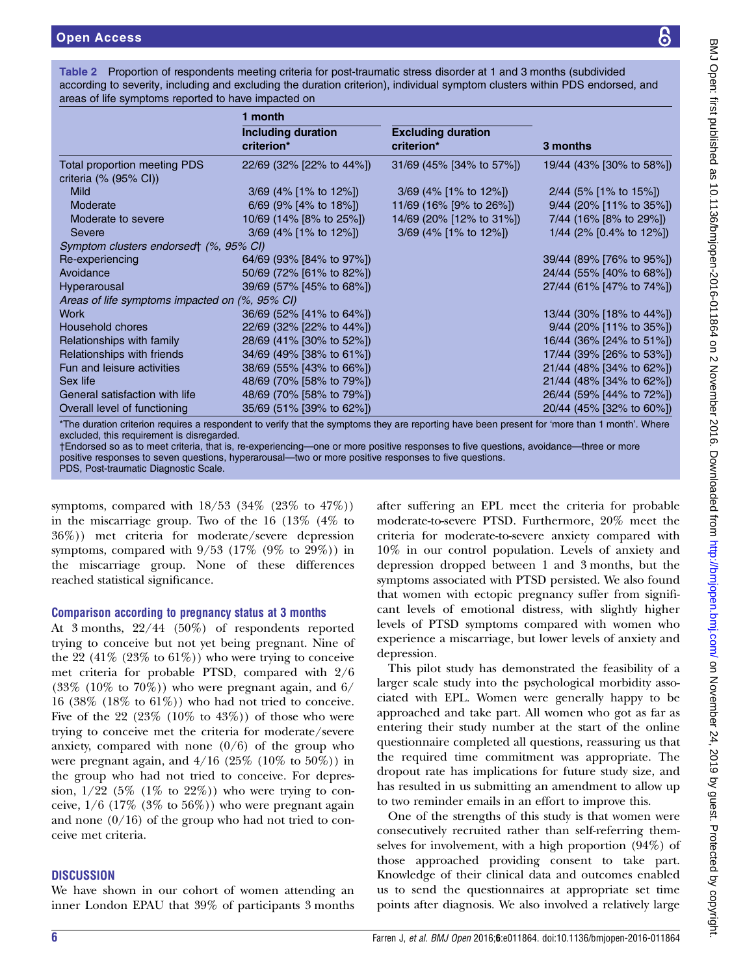<span id="page-5-0"></span>Table 2 Proportion of respondents meeting criteria for post-traumatic stress disorder at 1 and 3 months (subdivided according to severity, including and excluding the duration criterion), individual symptom clusters within PDS endorsed, and areas of life symptoms reported to have impacted on

|                                                | 1 month                   |                           |                           |
|------------------------------------------------|---------------------------|---------------------------|---------------------------|
|                                                | <b>Including duration</b> | <b>Excluding duration</b> |                           |
|                                                | criterion*                | criterion*                | 3 months                  |
| <b>Total proportion meeting PDS</b>            | 22/69 (32% [22% to 44%])  | 31/69 (45% [34% to 57%])  | 19/44 (43% [30% to 58%])  |
| criteria (% (95% CI))                          |                           |                           |                           |
| Mild                                           | $3/69$ (4% [1% to 12%])   | $3/69$ (4% [1% to 12%])   | $2/44$ (5% [1% to 15%])   |
| Moderate                                       | 6/69 (9% [4% to 18%])     | 11/69 (16% [9% to 26%])   | $9/44$ (20% [11% to 35%]) |
| Moderate to severe                             | 10/69 (14% [8% to 25%])   | 14/69 (20% [12% to 31%])  | 7/44 (16% [8% to 29%])    |
| <b>Severe</b>                                  | $3/69$ (4% [1% to 12%])   | 3/69 (4% [1% to 12%])     | 1/44 (2% [0.4% to 12%])   |
| Symptom clusters endorsed (%, 95% CI)          |                           |                           |                           |
| Re-experiencing                                | 64/69 (93% [84% to 97%])  |                           | 39/44 (89% [76% to 95%])  |
| Avoidance                                      | 50/69 (72% [61% to 82%])  |                           | 24/44 (55% [40% to 68%])  |
| Hyperarousal                                   | 39/69 (57% [45% to 68%])  |                           | 27/44 (61% [47% to 74%])  |
| Areas of life symptoms impacted on (%, 95% CI) |                           |                           |                           |
| <b>Work</b>                                    | 36/69 (52% [41% to 64%])  |                           | 13/44 (30% [18% to 44%])  |
| Household chores                               | 22/69 (32% [22% to 44%])  |                           | $9/44$ (20% [11% to 35%]) |
| Relationships with family                      | 28/69 (41% [30% to 52%])  |                           | 16/44 (36% [24% to 51%])  |
| Relationships with friends                     | 34/69 (49% [38% to 61%])  |                           | 17/44 (39% [26% to 53%])  |
| Fun and leisure activities                     | 38/69 (55% [43% to 66%])  |                           | 21/44 (48% [34% to 62%])  |
| Sex life                                       | 48/69 (70% [58% to 79%])  |                           | 21/44 (48% [34% to 62%])  |
| General satisfaction with life                 | 48/69 (70% [58% to 79%])  |                           | 26/44 (59% [44% to 72%])  |
| Overall level of functioning                   | 35/69 (51% [39% to 62%])  |                           | 20/44 (45% [32% to 60%])  |

\*The duration criterion requires a respondent to verify that the symptoms they are reporting have been present for 'more than 1 month'. Where excluded, this requirement is disregarded.

†Endorsed so as to meet criteria, that is, re-experiencing—one or more positive responses to five questions, avoidance—three or more positive responses to seven questions, hyperarousal—two or more positive responses to five questions.

PDS, Post-traumatic Diagnostic Scale.

symptoms, compared with  $18/53$  (34% (23% to 47%)) in the miscarriage group. Two of the 16 (13% (4% to 36%)) met criteria for moderate/severe depression symptoms, compared with  $9/53$  (17% (9% to 29%)) in the miscarriage group. None of these differences reached statistical significance.

# Comparison according to pregnancy status at 3 months

At 3 months, 22/44 (50%) of respondents reported trying to conceive but not yet being pregnant. Nine of the 22 (41% (23% to  $61\%)$ ) who were trying to conceive met criteria for probable PTSD, compared with 2/6  $(33\%$   $(10\%$  to  $70\%)$ ) who were pregnant again, and 6/ 16 (38\% (18\%) to 61\%)) who had not tried to conceive. Five of the 22  $(23\% \ (10\% \ \text{to} \ 43\%))$  of those who were trying to conceive met the criteria for moderate/severe anxiety, compared with none  $(0/6)$  of the group who were pregnant again, and  $4/16$  (25% (10% to 50%)) in the group who had not tried to conceive. For depression,  $1/22$  (5% (1% to 22%)) who were trying to conceive,  $1/6$  ( $17\%$  ( $3\%$  to  $56\%)$ ) who were pregnant again and none  $(0/16)$  of the group who had not tried to conceive met criteria.

# **DISCUSSION**

We have shown in our cohort of women attending an inner London EPAU that 39% of participants 3 months

after suffering an EPL meet the criteria for probable moderate-to-severe PTSD. Furthermore, 20% meet the criteria for moderate-to-severe anxiety compared with 10% in our control population. Levels of anxiety and depression dropped between 1 and 3 months, but the symptoms associated with PTSD persisted. We also found that women with ectopic pregnancy suffer from significant levels of emotional distress, with slightly higher levels of PTSD symptoms compared with women who experience a miscarriage, but lower levels of anxiety and depression.

This pilot study has demonstrated the feasibility of a larger scale study into the psychological morbidity associated with EPL. Women were generally happy to be approached and take part. All women who got as far as entering their study number at the start of the online questionnaire completed all questions, reassuring us that the required time commitment was appropriate. The dropout rate has implications for future study size, and has resulted in us submitting an amendment to allow up to two reminder emails in an effort to improve this.

One of the strengths of this study is that women were consecutively recruited rather than self-referring themselves for involvement, with a high proportion (94%) of those approached providing consent to take part. Knowledge of their clinical data and outcomes enabled us to send the questionnaires at appropriate set time points after diagnosis. We also involved a relatively large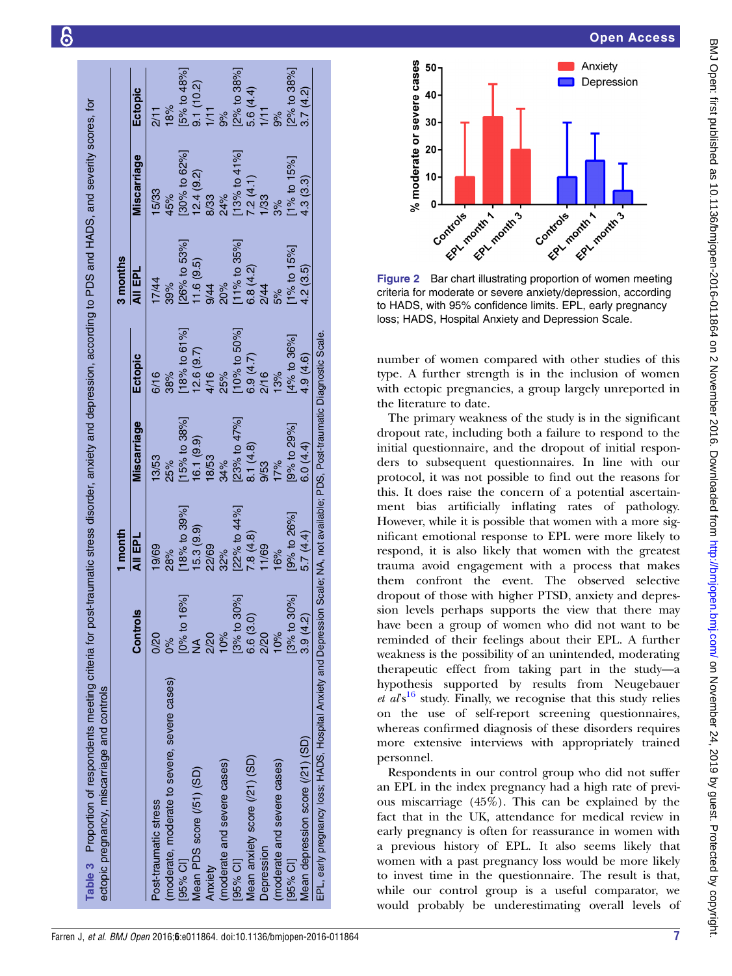<span id="page-6-0"></span>

|                                                                                                                                  |                 | 1 month         |                 |                           | 3 months                  |                           |                         |
|----------------------------------------------------------------------------------------------------------------------------------|-----------------|-----------------|-----------------|---------------------------|---------------------------|---------------------------|-------------------------|
|                                                                                                                                  | <b>Controls</b> | All EPL         | Miscarriage     | Ectopic                   | All EPL                   | Miscarriage               | Ectopic                 |
| Post-traumatic stress                                                                                                            | 0/20            | 19/69           | 13/53           | 6/16                      | 17/44                     | 15/33                     | 211                     |
| (moderate, moderate to severe, severe cases)                                                                                     | စိ              | 28%             | 25%             | 38%                       | 39%                       | 45%                       | 18%                     |
| [95% CI]                                                                                                                         | 16%             | $[18%$ to 39%]  | $[15%$ to 38%]  | $[18%$ to 61%]            | [26% to 53%]              | $[30\% \text{ to } 62\%]$ | [5% to 48%]             |
| Mean PDS score (/51) (SD)                                                                                                        | [0% to -<br>NA  | 15.3(9.9)       | 16.1(9.9)       | 12.6(9.7)                 | 11.6(9.5)                 | 12.4(9.2)                 | $9.1(10.2)$<br>$1/11$   |
| Anxiety                                                                                                                          | 2/20            | 22/69           | 18/53           | 4/16                      | 9/44                      | 8/33                      |                         |
| (moderate and severe cases)                                                                                                      | 10%             | 32%             | 34%             | 25%                       | 20%                       | 24%                       |                         |
| [95% CI]                                                                                                                         | $[3%$ to $30%$  | $[22\%$ to 44%] | [23% to $47%$ ] | $[10\% \text{ to } 50\%]$ | $[11\% \text{ to } 35\%]$ | $[13%$ to $41%$           | [2% to 38%]             |
| Mean anxiety score (/21) (SD)                                                                                                    | 6.6(3.0)        | 7.8(4.8)        | 8.1 (4.8)       | 6.9(4.7)                  | 6.8(4.2)                  | 7.2(4.1)                  | $\frac{5.6(4.4)}{1/11}$ |
| Depression                                                                                                                       | 2/20            | 1/69            | 9/53            | 2/16                      | 2/44                      | /33                       |                         |
| (moderate and severe cases)                                                                                                      | 10%             | 16%             | 17%             | 13%                       | 5%                        | 3%                        | 9%                      |
| [95% CI]                                                                                                                         | [3% to 30%]     | [9% to $26\%$ ] | [9% to 29%]     | [4% to 36%]               | $[1\% \text{ to } 15\%]$  | [1% to 15%]               | [2% to 38%]             |
| Mean depression score (/21) (SD)                                                                                                 | 3.9(4.2)        | 5.7(4.4)        | 6.0 (4.4)       | 4.9 (4.6)                 | 4.2 (3.5)                 | 4.3 (3.3)                 | 3.7(4.2)                |
| EPL, early pregnancy loss; HADS, Hospital Anxiety and Depression Scale; NA, not available; PDS, Post-traumatic Diagnostic Scale. |                 |                 |                 |                           |                           |                           |                         |



Figure 2 Bar chart illustrating proportion of women meeting criteria for moderate or severe anxiety/depression, according to HADS, with 95% confidence limits. EPL, early pregnancy loss; HADS, Hospital Anxiety and Depression Scale.

number of women compared with other studies of this type. A further strength is in the inclusion of women with ectopic pregnancies, a group largely unreported in the literature to date.

The primary weakness of the study is in the significant dropout rate, including both a failure to respond to the initial questionnaire, and the dropout of initial responders to subsequent questionnaires. In line with our protocol, it was not possible to find out the reasons for this. It does raise the concern of a potential ascertainment bias artificially inflating rates of pathology. However, while it is possible that women with a more significant emotional response to EPL were more likely to respond, it is also likely that women with the greatest trauma avoid engagement with a process that makes them confront the event. The observed selective dropout of those with higher PTSD, anxiety and depression levels perhaps supports the view that there may have been a group of women who did not want to be reminded of their feelings about their EPL. A further weakness is the possibility of an unintended, moderating therapeutic effect from taking part in the study—a hypothesis supported by results from Neugebauer  $et$   $a\ell s^{16}$  $a\ell s^{16}$  $a\ell s^{16}$  study. Finally, we recognise that this study relies on the use of self-report screening questionnaires, whereas confirmed diagnosis of these disorders requires more extensive interviews with appropriately trained personnel.

Respondents in our control group who did not suffer an EPL in the index pregnancy had a high rate of previous miscarriage (45%). This can be explained by the fact that in the UK, attendance for medical review in early pregnancy is often for reassurance in women with a previous history of EPL. It also seems likely that women with a past pregnancy loss would be more likely to invest time in the questionnaire. The result is that, while our control group is a useful comparator, we would probably be underestimating overall levels of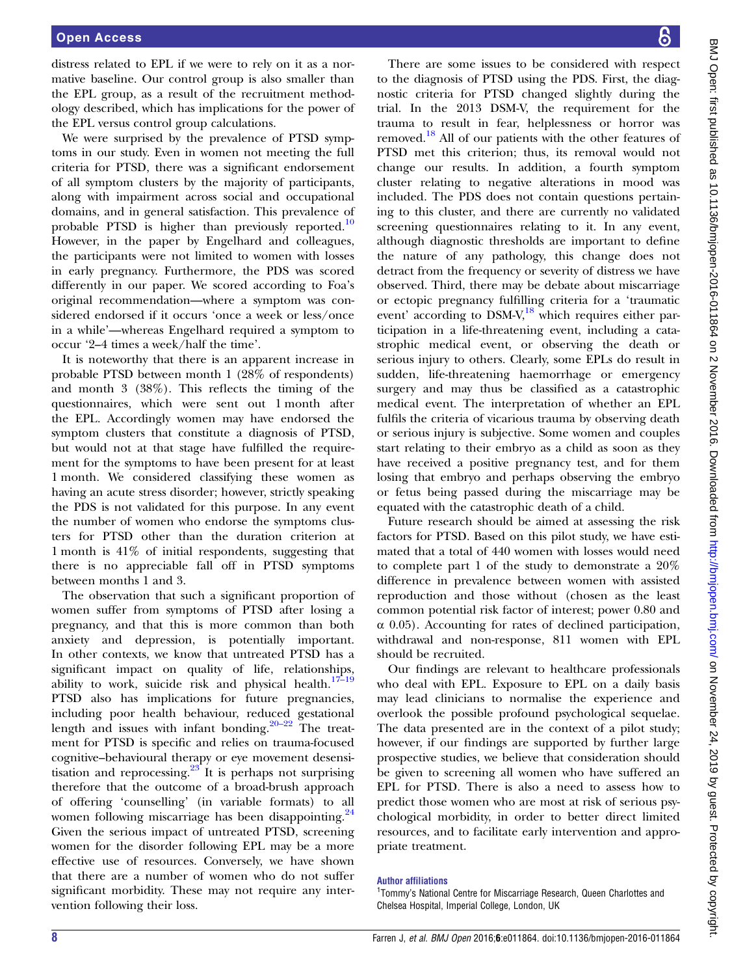distress related to EPL if we were to rely on it as a normative baseline. Our control group is also smaller than the EPL group, as a result of the recruitment methodology described, which has implications for the power of the EPL versus control group calculations.

We were surprised by the prevalence of PTSD symptoms in our study. Even in women not meeting the full criteria for PTSD, there was a significant endorsement of all symptom clusters by the majority of participants, along with impairment across social and occupational domains, and in general satisfaction. This prevalence of probable PTSD is higher than previously reported.<sup>[10](#page-8-0)</sup> However, in the paper by Engelhard and colleagues, the participants were not limited to women with losses in early pregnancy. Furthermore, the PDS was scored differently in our paper. We scored according to Foa's original recommendation—where a symptom was considered endorsed if it occurs 'once a week or less/once in a while'—whereas Engelhard required a symptom to occur '2–4 times a week/half the time'.

It is noteworthy that there is an apparent increase in probable PTSD between month 1 (28% of respondents) and month 3 (38%). This reflects the timing of the questionnaires, which were sent out 1 month after the EPL. Accordingly women may have endorsed the symptom clusters that constitute a diagnosis of PTSD, but would not at that stage have fulfilled the requirement for the symptoms to have been present for at least 1 month. We considered classifying these women as having an acute stress disorder; however, strictly speaking the PDS is not validated for this purpose. In any event the number of women who endorse the symptoms clusters for PTSD other than the duration criterion at 1 month is 41% of initial respondents, suggesting that there is no appreciable fall off in PTSD symptoms between months 1 and 3.

The observation that such a significant proportion of women suffer from symptoms of PTSD after losing a pregnancy, and that this is more common than both anxiety and depression, is potentially important. In other contexts, we know that untreated PTSD has a significant impact on quality of life, relationships, ability to work, suicide risk and physical health.<sup>[17](#page-8-0)-19</sup> PTSD also has implications for future pregnancies, including poor health behaviour, reduced gestational length and issues with infant bonding.<sup>[20](#page-8-0)–22</sup> The treatment for PTSD is specific and relies on trauma-focused cognitive–behavioural therapy or eye movement desensitisation and reprocessing. $23$  It is perhaps not surprising therefore that the outcome of a broad-brush approach of offering 'counselling' (in variable formats) to all women following miscarriage has been disappointing.<sup>[24](#page-8-0)</sup> Given the serious impact of untreated PTSD, screening women for the disorder following EPL may be a more effective use of resources. Conversely, we have shown that there are a number of women who do not suffer significant morbidity. These may not require any intervention following their loss.

There are some issues to be considered with respect to the diagnosis of PTSD using the PDS. First, the diagnostic criteria for PTSD changed slightly during the trial. In the 2013 DSM-V, the requirement for the trauma to result in fear, helplessness or horror was removed.[18](#page-8-0) All of our patients with the other features of PTSD met this criterion; thus, its removal would not change our results. In addition, a fourth symptom cluster relating to negative alterations in mood was included. The PDS does not contain questions pertaining to this cluster, and there are currently no validated screening questionnaires relating to it. In any event, although diagnostic thresholds are important to define the nature of any pathology, this change does not detract from the frequency or severity of distress we have observed. Third, there may be debate about miscarriage or ectopic pregnancy fulfilling criteria for a 'traumatic event' according to  $DSM-V$ ,<sup>18</sup> which requires either participation in a life-threatening event, including a catastrophic medical event, or observing the death or serious injury to others. Clearly, some EPLs do result in sudden, life-threatening haemorrhage or emergency surgery and may thus be classified as a catastrophic medical event. The interpretation of whether an EPL fulfils the criteria of vicarious trauma by observing death or serious injury is subjective. Some women and couples start relating to their embryo as a child as soon as they have received a positive pregnancy test, and for them losing that embryo and perhaps observing the embryo or fetus being passed during the miscarriage may be equated with the catastrophic death of a child.

Future research should be aimed at assessing the risk factors for PTSD. Based on this pilot study, we have estimated that a total of 440 women with losses would need to complete part 1 of the study to demonstrate a 20% difference in prevalence between women with assisted reproduction and those without (chosen as the least common potential risk factor of interest; power 0.80 and  $\alpha$  0.05). Accounting for rates of declined participation, withdrawal and non-response, 811 women with EPL should be recruited.

Our findings are relevant to healthcare professionals who deal with EPL. Exposure to EPL on a daily basis may lead clinicians to normalise the experience and overlook the possible profound psychological sequelae. The data presented are in the context of a pilot study; however, if our findings are supported by further large prospective studies, we believe that consideration should be given to screening all women who have suffered an EPL for PTSD. There is also a need to assess how to predict those women who are most at risk of serious psychological morbidity, in order to better direct limited resources, and to facilitate early intervention and appropriate treatment.

#### Author affiliations

<sup>1</sup>Tommy's National Centre for Miscarriage Research, Queen Charlottes and Chelsea Hospital, Imperial College, London, UK